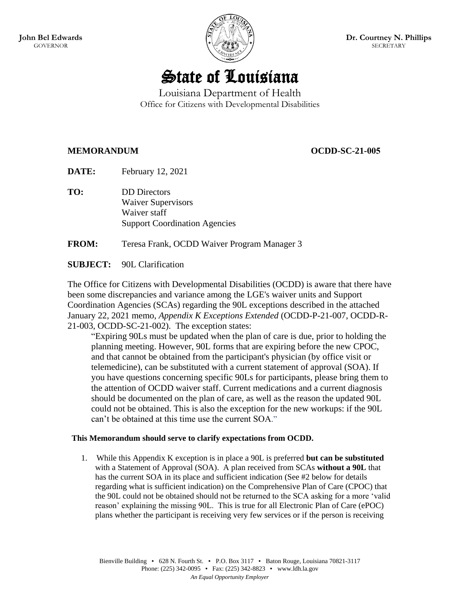

# State of Louisiana

## Louisiana Department of Health Office for Citizens with Developmental Disabilities

### **MEMORANDUM OCDD-SC-21-005**

**DATE:** February 12, 2021

**TO:** DD Directors Waiver Supervisors Waiver staff Support Coordination Agencies

**FROM:** Teresa Frank, OCDD Waiver Program Manager 3

### **SUBJECT:** 90L Clarification

The Office for Citizens with Developmental Disabilities (OCDD) is aware that there have been some discrepancies and variance among the LGE's waiver units and Support Coordination Agencies (SCAs) regarding the 90L exceptions described in the attached January 22, 2021 memo, *Appendix K Exceptions Extended* (OCDD-P-21-007, OCDD-R-21-003, OCDD-SC-21-002). The exception states:

"Expiring 90Ls must be updated when the plan of care is due, prior to holding the planning meeting. However, 90L forms that are expiring before the new CPOC, and that cannot be obtained from the participant's physician (by office visit or telemedicine), can be substituted with a current statement of approval (SOA). If you have questions concerning specific 90Ls for participants, please bring them to the attention of OCDD waiver staff. Current medications and a current diagnosis should be documented on the plan of care, as well as the reason the updated 90L could not be obtained. This is also the exception for the new workups: if the 90L can't be obtained at this time use the current SOA."

### **This Memorandum should serve to clarify expectations from OCDD.**

1. While this Appendix K exception is in place a 90L is preferred **but can be substituted** with a Statement of Approval (SOA). A plan received from SCAs **without a 90L** that has the current SOA in its place and sufficient indication (See #2 below for details regarding what is sufficient indication) on the Comprehensive Plan of Care (CPOC) that the 90L could not be obtained should not be returned to the SCA asking for a more 'valid reason' explaining the missing 90L. This is true for all Electronic Plan of Care (ePOC) plans whether the participant is receiving very few services or if the person is receiving